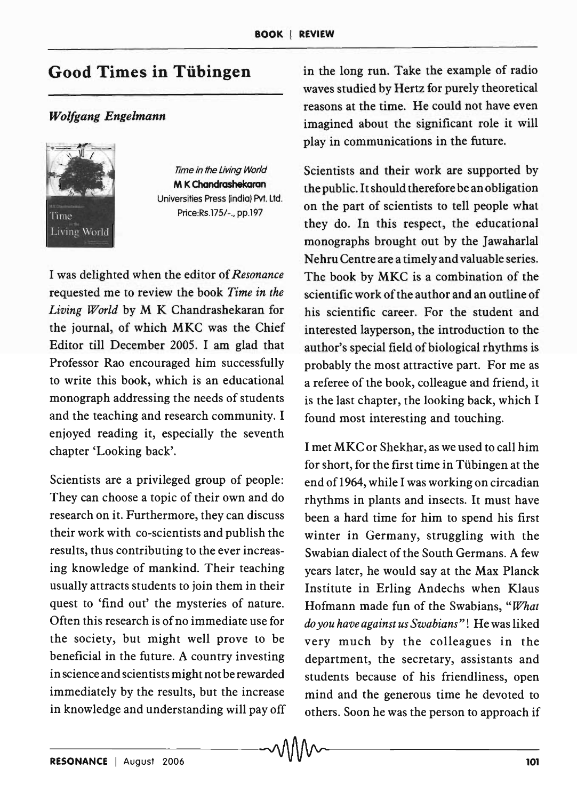## Good Times in Tübingen

## *Wolfgang Engelmann*



Time in the living World M K Chandrashekaran Universities Press (india) Pvt. ltd. Price:Rs.17S/-., pp.197

I was delighted when the editor of *Resonance*  requested me to review the book *Time in the Living World* by M K Chandrashekaran for the journal, of which MKC was the Chief Editor till December 200S. I am glad that Professor Rao encouraged him successfully to write this book, which is an educational monograph addressing the needs of students and the teaching and research community. I enjoyed reading it, especially the seventh chapter 'Looking back'.

Scientists are a privileged group of people: They can choose a topic of their own and do research on it. Furthermore, they can discuss their work with co-scientists and publish the results, thus contributing to the ever increasing knowledge of mankind. Their teaching usually attracts students to join them in their quest to 'find out' the mysteries of nature. Often this research is of no immediate use for the society, but might well prove to be beneficial in the future. A country investing in science and scientists might not be rewarded immediately by the results, but the increase in knowledge and understanding will payoff in the long run. Take the example of radio waves studied by Hertz for purely theoretical reasons at the time. He could not have even imagined about the significant role it will play in communications in the future.

Scientists and their work are supported by the public. It should therefore be an obligation on the part of scientists to tell people what they do. In this respect, the educational monographs brought out by the Jawaharlal Nehru Centre are a timely and valuable series. The book by MKC is a combination of the scientific work of the author and an outline of his scientific career. For the student and interested layperson, the introduction to the author's special field of biological rhythms is probably the most attractive part. For me as a referee of the book, colleague and friend, it is the last chapter, the looking back, which I found most interesting and touching.

I met MKC or Shekhar, as we used to call him for short, for the first time in Tübingen at the end of 1964, while I was working on circadian rhythms in plants and insects. It must have been a hard time for him to spend his first winter in Germany, struggling with the Swabian dialect of the South Germans. A few years later, he would say at the Max Planck Institute in Erling Andechs when Klaus Hofmann made fun of the Swabians, *"W'hat do you have against us Swabians"!* He was liked very much by the colleagues in the department, the secretary, assistants and students because of his friendliness, open mind and the generous time he devoted to others. Soon he was the person to approach if